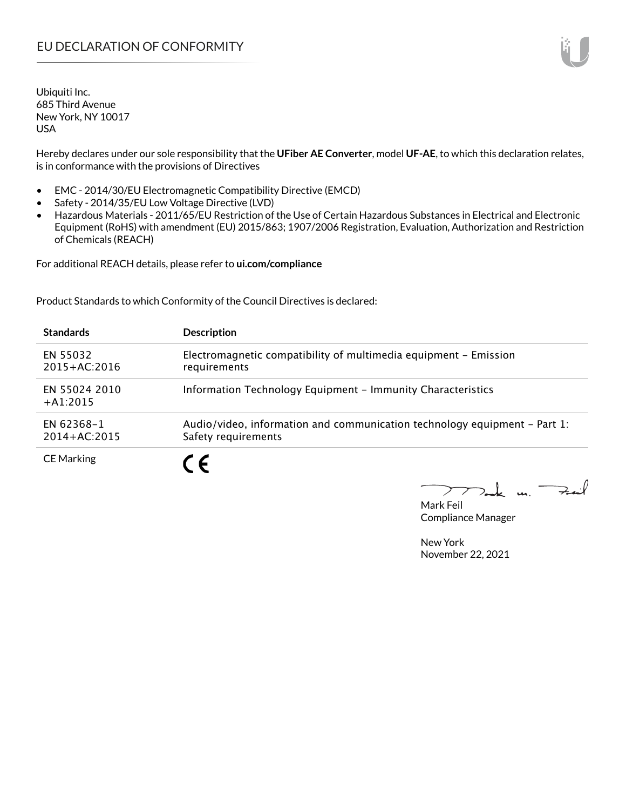Hereby declares under our sole responsibility that the **UFiber AE Converter**, model **UF-AE**, to which this declaration relates, is in conformance with the provisions of Directives

- EMC 2014/30/EU Electromagnetic Compatibility Directive (EMCD)
- Safety 2014/35/EU Low Voltage Directive (LVD)
- Hazardous Materials 2011/65/EU Restriction of the Use of Certain Hazardous Substances in Electrical and Electronic Equipment (RoHS) with amendment (EU) 2015/863; 1907/2006 Registration, Evaluation, Authorization and Restriction of Chemicals (REACH)

For additional REACH details, please refer to **ui.com/compliance**

Product Standards to which Conformity of the Council Directives is declared:

| <b>Standards</b>               | <b>Description</b>                                                                               |
|--------------------------------|--------------------------------------------------------------------------------------------------|
| EN 55032<br>$2015 + AC:2016$   | Electromagnetic compatibility of multimedia equipment - Emission<br>requirements                 |
| EN 55024 2010<br>$+ A1:2015$   | Information Technology Equipment - Immunity Characteristics                                      |
| EN 62368-1<br>$2014 + AC:2015$ | Audio/video, information and communication technology equipment – Part 1:<br>Safety requirements |
| <b>CE Marking</b>              |                                                                                                  |

 $k$  un  $\rightarrow$  $\triangleright$ 

Mark Feil Compliance Manager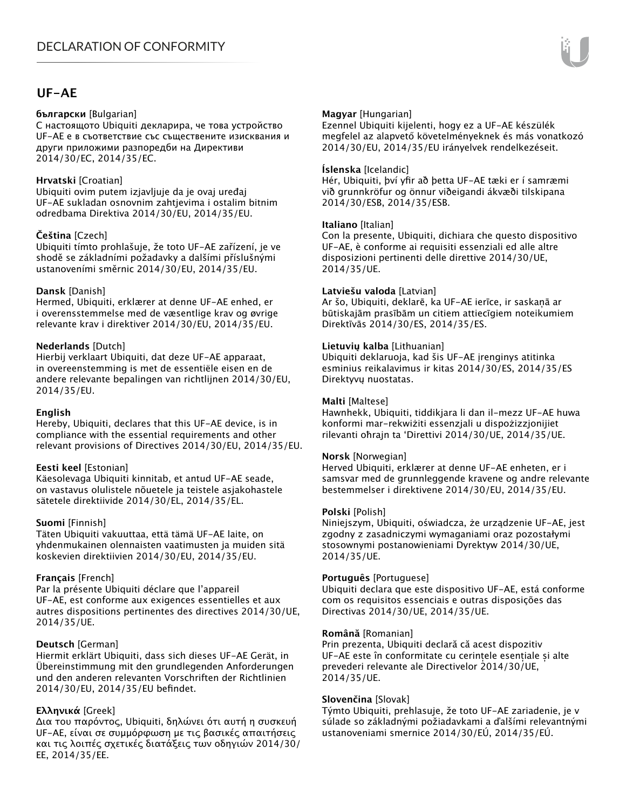### **UF-AE**

#### **български** [Bulgarian]

С настоящото Ubiquiti декларира, че това устройство UF-AE е в съответствие със съществените изисквания и други приложими разпоредби на Директиви 2014/30/ЕС, 2014/35/ЕС.

#### **Hrvatski** [Croatian]

Ubiquiti ovim putem izjavljuje da je ovaj uređaj UF-AE sukladan osnovnim zahtjevima i ostalim bitnim odredbama Direktiva 2014/30/EU, 2014/35/EU.

#### **Čeština** [Czech]

Ubiquiti tímto prohlašuje, že toto UF-AE zařízení, je ve shodě se základními požadavky a dalšími příslušnými ustanoveními směrnic 2014/30/EU, 2014/35/EU.

#### **Dansk** [Danish]

Hermed, Ubiquiti, erklærer at denne UF-AE enhed, er i overensstemmelse med de væsentlige krav og øvrige relevante krav i direktiver 2014/30/EU, 2014/35/EU.

#### **Nederlands** [Dutch]

Hierbij verklaart Ubiquiti, dat deze UF-AE apparaat, in overeenstemming is met de essentiële eisen en de andere relevante bepalingen van richtlijnen 2014/30/EU, 2014/35/EU.

#### **English**

Hereby, Ubiquiti, declares that this UF-AE device, is in compliance with the essential requirements and other relevant provisions of Directives 2014/30/EU, 2014/35/EU.

#### **Eesti keel** [Estonian]

Käesolevaga Ubiquiti kinnitab, et antud UF-AE seade, on vastavus olulistele nõuetele ja teistele asjakohastele sätetele direktiivide 2014/30/EL, 2014/35/EL.

#### **Suomi** [Finnish]

Täten Ubiquiti vakuuttaa, että tämä UF-AE laite, on yhdenmukainen olennaisten vaatimusten ja muiden sitä koskevien direktiivien 2014/30/EU, 2014/35/EU.

#### **Français** [French]

Par la présente Ubiquiti déclare que l'appareil UF-AE, est conforme aux exigences essentielles et aux autres dispositions pertinentes des directives 2014/30/UE, 2014/35/UE.

#### **Deutsch** [German]

Hiermit erklärt Ubiquiti, dass sich dieses UF-AE Gerät, in Übereinstimmung mit den grundlegenden Anforderungen und den anderen relevanten Vorschriften der Richtlinien 2014/30/EU, 2014/35/EU befindet.

#### **Ελληνικά** [Greek]

Δια του παρόντος, Ubiquiti, δηλώνει ότι αυτή η συσκευή UF-AE, είναι σε συμμόρφωση με τις βασικές απαιτήσεις και τις λοιπές σχετικές διατάξεις των οδηγιών 2014/30/ EE, 2014/35/EE.

#### **Magyar** [Hungarian]

Ezennel Ubiquiti kijelenti, hogy ez a UF-AE készülék megfelel az alapvető követelményeknek és más vonatkozó 2014/30/EU, 2014/35/EU irányelvek rendelkezéseit.

#### **Íslenska** [Icelandic]

Hér, Ubiquiti, því yfir að þetta UF-AE tæki er í samræmi við grunnkröfur og önnur viðeigandi ákvæði tilskipana 2014/30/ESB, 2014/35/ESB.

#### **Italiano** [Italian]

Con la presente, Ubiquiti, dichiara che questo dispositivo UF-AE, è conforme ai requisiti essenziali ed alle altre disposizioni pertinenti delle direttive 2014/30/UE, 2014/35/UE.

#### **Latviešu valoda** [Latvian]

Ar šo, Ubiquiti, deklarē, ka UF-AE ierīce, ir saskaņā ar būtiskajām prasībām un citiem attiecīgiem noteikumiem Direktīvās 2014/30/ES, 2014/35/ES.

#### **Lietuvių kalba** [Lithuanian]

Ubiquiti deklaruoja, kad šis UF-AE įrenginys atitinka esminius reikalavimus ir kitas 2014/30/ES, 2014/35/ES Direktyvų nuostatas.

#### **Malti** [Maltese]

Hawnhekk, Ubiquiti, tiddikjara li dan il-mezz UF-AE huwa konformi mar-rekwiżiti essenzjali u dispożizzjonijiet rilevanti oħrajn ta 'Direttivi 2014/30/UE, 2014/35/UE.

#### **Norsk** [Norwegian]

Herved Ubiquiti, erklærer at denne UF-AE enheten, er i samsvar med de grunnleggende kravene og andre relevante bestemmelser i direktivene 2014/30/EU, 2014/35/EU.

#### **Polski** [Polish]

Niniejszym, Ubiquiti, oświadcza, że urządzenie UF-AE, jest zgodny z zasadniczymi wymaganiami oraz pozostałymi stosownymi postanowieniami Dyrektyw 2014/30/UE, 2014/35/UE.

#### **Português** [Portuguese]

Ubiquiti declara que este dispositivo UF-AE, está conforme com os requisitos essenciais e outras disposições das Directivas 2014/30/UE, 2014/35/UE.

#### **Română** [Romanian]

Prin prezenta, Ubiquiti declară că acest dispozitiv UF-AE este în conformitate cu cerințele esențiale și alte prevederi relevante ale Directivelor 2014/30/UE, 2014/35/UE.

#### **Slovenčina** [Slovak]

Týmto Ubiquiti, prehlasuje, že toto UF-AE zariadenie, je v súlade so základnými požiadavkami a ďalšími relevantnými ustanoveniami smernice 2014/30/EÚ, 2014/35/EÚ.

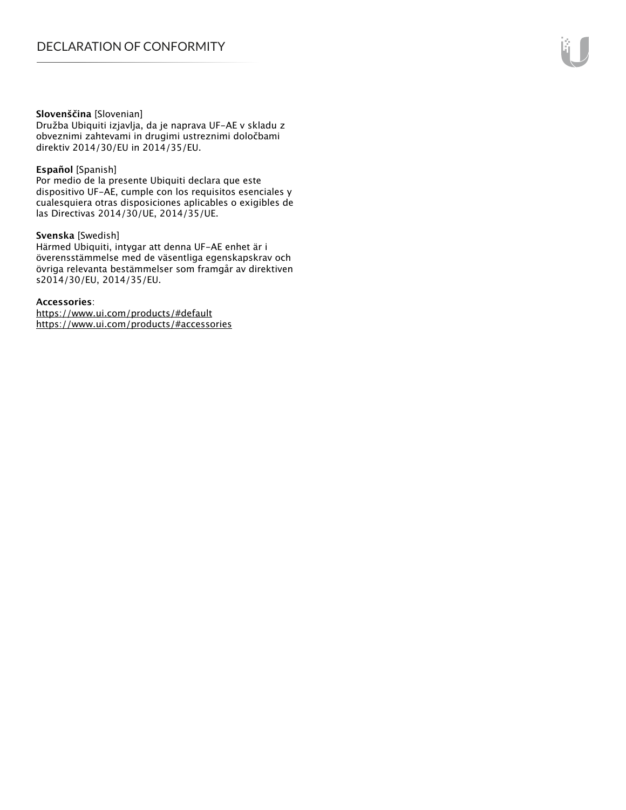#### **Slovenščina** [Slovenian]

Družba Ubiquiti izjavlja, da je naprava UF-AE v skladu z obveznimi zahtevami in drugimi ustreznimi določbami direktiv 2014/30/EU in 2014/35/EU.

#### **Español** [Spanish]

Por medio de la presente Ubiquiti declara que este dispositivo UF-AE, cumple con los requisitos esenciales y cualesquiera otras disposiciones aplicables o exigibles de las Directivas 2014/30/UE, 2014/35/UE.

#### **Svenska** [Swedish]

Härmed Ubiquiti, intygar att denna UF-AE enhet är i överensstämmelse med de väsentliga egenskapskrav och övriga relevanta bestämmelser som framgår av direktiven s2014/30/EU, 2014/35/EU.

#### **Accessories**:

https://www.ui.com/products/#default https://www.ui.com/products/#accessories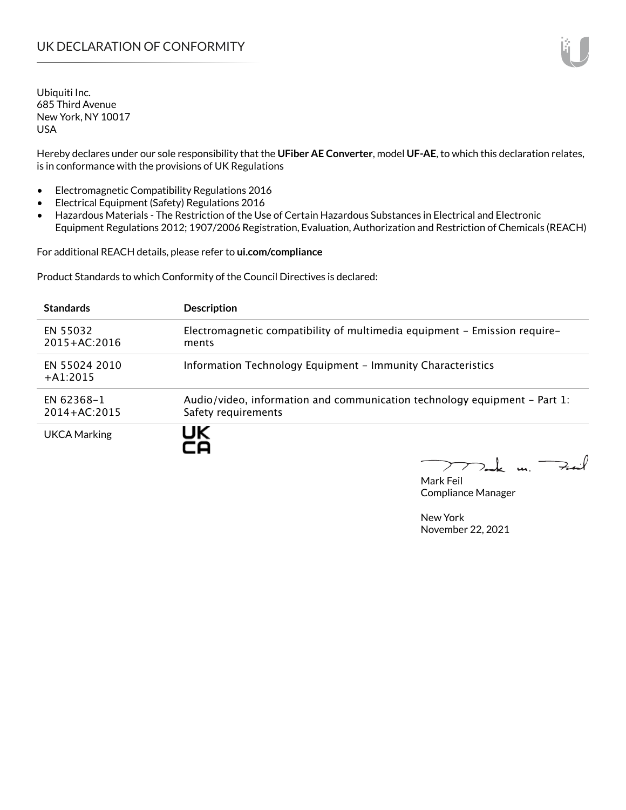Hereby declares under our sole responsibility that the **UFiber AE Converter**, model **UF-AE**, to which this declaration relates, is in conformance with the provisions of UK Regulations

- Electromagnetic Compatibility Regulations 2016
- Electrical Equipment (Safety) Regulations 2016
- Hazardous Materials The Restriction of the Use of Certain Hazardous Substances in Electrical and Electronic Equipment Regulations 2012; 1907/2006 Registration, Evaluation, Authorization and Restriction of Chemicals (REACH)

For additional REACH details, please refer to **ui.com/compliance**

Product Standards to which Conformity of the Council Directives is declared:

| <b>Standards</b>               | <b>Description</b>                                                                               |
|--------------------------------|--------------------------------------------------------------------------------------------------|
| EN 55032<br>$2015 + AC:2016$   | Electromagnetic compatibility of multimedia equipment - Emission require-<br>ments               |
| EN 55024 2010<br>$+41:2015$    | Information Technology Equipment - Immunity Characteristics                                      |
| EN 62368-1<br>$2014 + AC:2015$ | Audio/video, information and communication technology equipment – Part 1:<br>Safety requirements |
| <b>UKCA Marking</b>            | UK                                                                                               |

 $k$  un  $\rightarrow$ 

Mark Feil Compliance Manager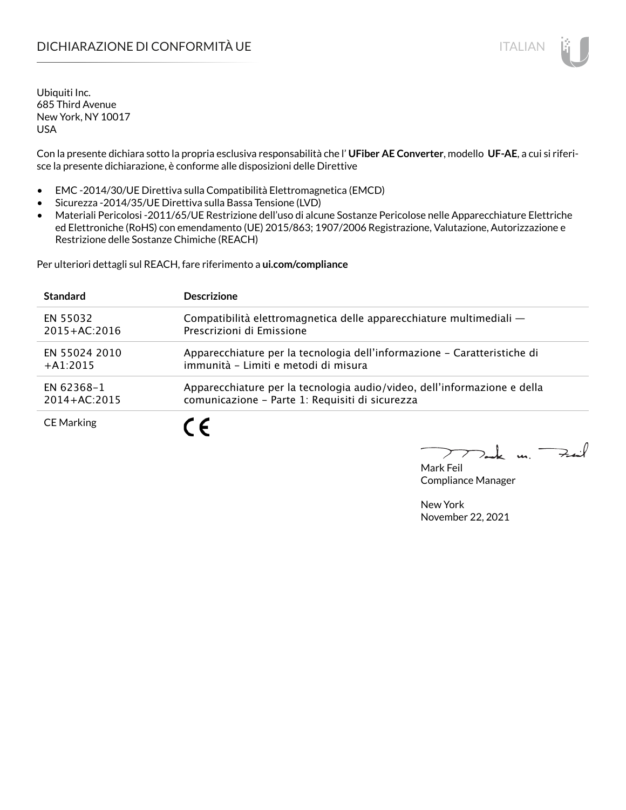# DICHIARAZIONE DI CONFORMITÀ UE ITALIAN ITALIAN

Ubiquiti Inc. 685 Third Avenue New York, NY 10017 USA

Con la presente dichiara sotto la propria esclusiva responsabilità che l' **UFiber AE Converter**, modello **UF-AE**, a cui si riferisce la presente dichiarazione, è conforme alle disposizioni delle Direttive

- EMC -2014/30/UE Direttiva sulla Compatibilità Elettromagnetica (EMCD)
- Sicurezza -2014/35/UE Direttiva sulla Bassa Tensione (LVD)
- Materiali Pericolosi -2011/65/UE Restrizione dell'uso di alcune Sostanze Pericolose nelle Apparecchiature Elettriche ed Elettroniche (RoHS) con emendamento (UE) 2015/863; 1907/2006 Registrazione, Valutazione, Autorizzazione e Restrizione delle Sostanze Chimiche (REACH)

Per ulteriori dettagli sul REACH, fare riferimento a **ui.com/compliance**

| <b>Standard</b>   | <b>Descrizione</b>                                                       |
|-------------------|--------------------------------------------------------------------------|
| EN 55032          | Compatibilità elettromagnetica delle apparecchiature multimediali —      |
| $2015 + AC:2016$  | Prescrizioni di Emissione                                                |
| EN 55024 2010     | Apparecchiature per la tecnologia dell'informazione – Caratteristiche di |
| $+A1:2015$        | immunità - Limiti e metodi di misura                                     |
| EN 62368-1        | Apparecchiature per la tecnologia audio/video, dell'informazione e della |
| $2014 + AC:2015$  | comunicazione - Parte 1: Requisiti di sicurezza                          |
| <b>CE Marking</b> |                                                                          |

 $k$  un  $\rightarrow$ 

Mark Feil Compliance Manager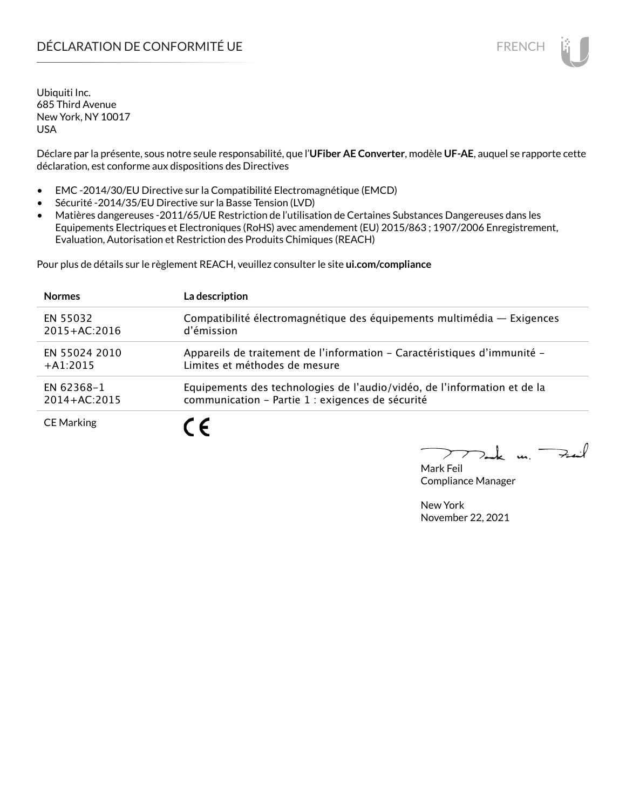# DÉCLARATION DE CONFORMITÉ UE EN ENCHANGEMENT DE CONFORMITÉ UNE ENCHANGEMENT DE CONFORMITÉ UNE ENCHANGEMENT DE

Ubiquiti Inc. 685 Third Avenue New York, NY 10017 USA

Déclare par la présente, sous notre seule responsabilité, que l'**UFiber AE Converter**, modèle **UF-AE**, auquel se rapporte cette déclaration, est conforme aux dispositions des Directives

- EMC -2014/30/EU Directive sur la Compatibilité Electromagnétique (EMCD)
- Sécurité -2014/35/EU Directive sur la Basse Tension (LVD)
- Matières dangereuses -2011/65/UE Restriction de l'utilisation de Certaines Substances Dangereuses dans les Equipements Electriques et Electroniques (RoHS) avec amendement (EU) 2015/863 ; 1907/2006 Enregistrement, Evaluation, Autorisation et Restriction des Produits Chimiques (REACH)

Pour plus de détails sur le règlement REACH, veuillez consulter le site **ui.com/compliance**

| <b>Normes</b>     | La description                                                           |
|-------------------|--------------------------------------------------------------------------|
| EN 55032          | Compatibilité électromagnétique des équipements multimédia — Exigences   |
| $2015 + AC:2016$  | d'émission                                                               |
| EN 55024 2010     | Appareils de traitement de l'information - Caractéristiques d'immunité - |
| $+A1:2015$        | Limites et méthodes de mesure                                            |
| EN 62368-1        | Equipements des technologies de l'audio/vidéo, de l'information et de la |
| $2014 + AC:2015$  | communication - Partie 1 : exigences de sécurité                         |
| <b>CE Marking</b> |                                                                          |

 $\Rightarrow$ .  $\ell$ m.

Mark Feil Compliance Manager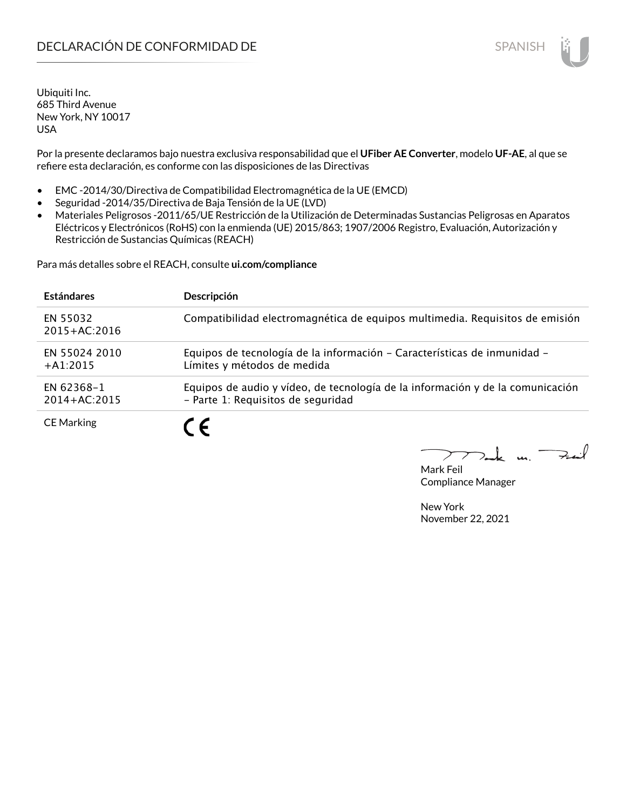Por la presente declaramos bajo nuestra exclusiva responsabilidad que el **UFiber AE Converter**, modelo **UF-AE**, al que se refiere esta declaración, es conforme con las disposiciones de las Directivas

- EMC -2014/30/Directiva de Compatibilidad Electromagnética de la UE (EMCD)
- Seguridad -2014/35/Directiva de Baja Tensión de la UE (LVD)
- Materiales Peligrosos -2011/65/UE Restricción de la Utilización de Determinadas Sustancias Peligrosas en Aparatos Eléctricos y Electrónicos (RoHS) con la enmienda (UE) 2015/863; 1907/2006 Registro, Evaluación, Autorización y Restricción de Sustancias Químicas (REACH)

Para más detalles sobre el REACH, consulte **ui.com/compliance**

| <b>Estándares</b>            | Descripción                                                                                                          |
|------------------------------|----------------------------------------------------------------------------------------------------------------------|
| EN 55032<br>$2015 + AC:2016$ | Compatibilidad electromagnética de equipos multimedia. Requisitos de emisión                                         |
| EN 55024 2010<br>$+A1:2015$  | Equipos de tecnología de la información - Características de inmunidad -<br>Límites y métodos de medida              |
| EN 62368-1<br>2014+AC:2015   | Equipos de audio y vídeo, de tecnología de la información y de la comunicación<br>- Parte 1: Requisitos de seguridad |
| <b>CE Marking</b>            | 7 C                                                                                                                  |

Mark Feil Compliance Manager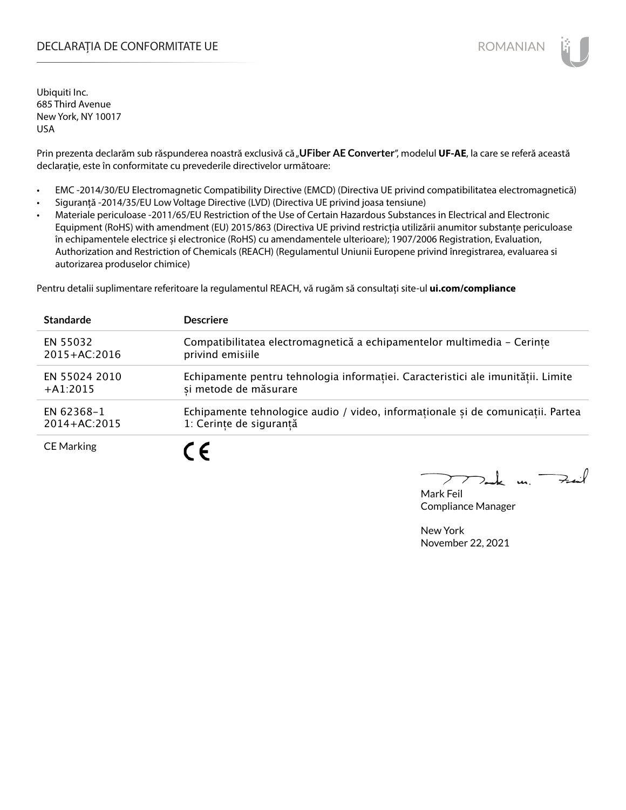### DECLARAȚIA DE CONFORMITATE UE EXTERNATION ANNO 1999 EN ANNO 1999 ROMANIAN

Ubiquiti Inc. 685 Third Avenue New York, NY 10017 USA

Prin prezenta declarăm sub răspunderea noastră exclusivă că "UFiber AE Converter", modelul UF-AE, la care se referă această declarație, este în conformitate cu prevederile directivelor următoare:

- EMC -2014/30/EU Electromagnetic Compatibility Directive (EMCD) (Directiva UE privind compatibilitatea electromagnetică)
- Siguranță -2014/35/EU Low Voltage Directive (LVD) (Directiva UE privind joasa tensiune)
- Materiale periculoase -2011/65/EU Restriction of the Use of Certain Hazardous Substances in Electrical and Electronic Equipment (RoHS) with amendment (EU) 2015/863 (Directiva UE privind restricția utilizării anumitor substanțe periculoase în echipamentele electrice și electronice (RoHS) cu amendamentele ulterioare); 1907/2006 Registration, Evaluation, Authorization and Restriction of Chemicals (REACH) (Regulamentul Uniunii Europene privind înregistrarea, evaluarea si autorizarea produselor chimice)

Pentru detalii suplimentare referitoare la regulamentul REACH, vă rugăm să consultați site-ul **ui.com/compliance**

| <b>Standarde</b>  | <b>Descriere</b>                                                                 |
|-------------------|----------------------------------------------------------------------------------|
| EN 55032          | Compatibilitatea electromagnetică a echipamentelor multimedia - Cerinte          |
| $2015 + AC:2016$  | privind emisiile                                                                 |
| EN 55024 2010     | Echipamente pentru tehnologia informației. Caracteristici ale imunității. Limite |
| $+A1:2015$        | si metode de măsurare                                                            |
| EN 62368-1        | Echipamente tehnologice audio / video, informaționale și de comunicații. Partea  |
| $2014 + AC:2015$  | 1: Cerinte de sigurantă                                                          |
| <b>CE Marking</b> | $\epsilon$                                                                       |

m. Fail

Mark Feil Compliance Manager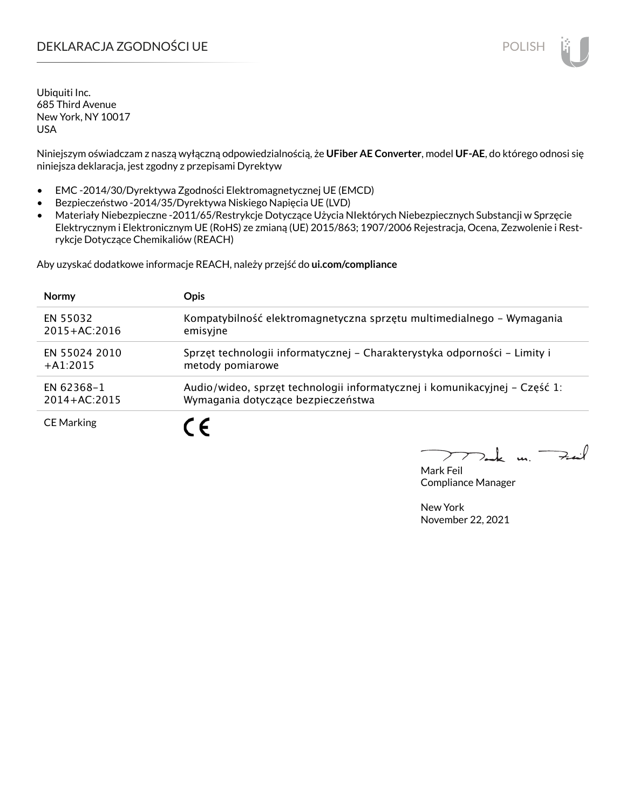### DEKLARACJA ZGODNOŚCI UE POLISH POLISH

Ubiquiti Inc. 685 Third Avenue New York, NY 10017 USA

Niniejszym oświadczam z naszą wyłączną odpowiedzialnością, że **UFiber AE Converter**, model **UF-AE**, do którego odnosi się niniejsza deklaracja, jest zgodny z przepisami Dyrektyw

- EMC -2014/30/Dyrektywa Zgodności Elektromagnetycznej UE (EMCD)
- Bezpieczeństwo -2014/35/Dyrektywa Niskiego Napięcia UE (LVD)
- Materiały Niebezpieczne -2011/65/Restrykcje Dotyczące Użycia NIektórych Niebezpiecznych Substancji w Sprzęcie Elektrycznym i Elektronicznym UE (RoHS) ze zmianą (UE) 2015/863; 1907/2006 Rejestracja, Ocena, Zezwolenie i Restrykcje Dotyczące Chemikaliów (REACH)

Aby uzyskać dodatkowe informacje REACH, należy przejść do **ui.com/compliance**

| <b>Normy</b>      | <b>Opis</b>                                                                |
|-------------------|----------------------------------------------------------------------------|
| EN 55032          | Kompatybilność elektromagnetyczna sprzętu multimedialnego – Wymagania      |
| $2015 + AC:2016$  | emisyjne                                                                   |
| EN 55024 2010     | Sprzęt technologii informatycznej - Charakterystyka odporności - Limity i  |
| $+A1:2015$        | metody pomiarowe                                                           |
| EN 62368-1        | Audio/wideo, sprzęt technologii informatycznej i komunikacyjnej – Część 1: |
| $2014 + AC:2015$  | Wymagania dotyczące bezpieczeństwa                                         |
| <b>CE Marking</b> |                                                                            |

 $\Rightarrow$ il  $\mathbf{u}$ 

Mark Feil Compliance Manager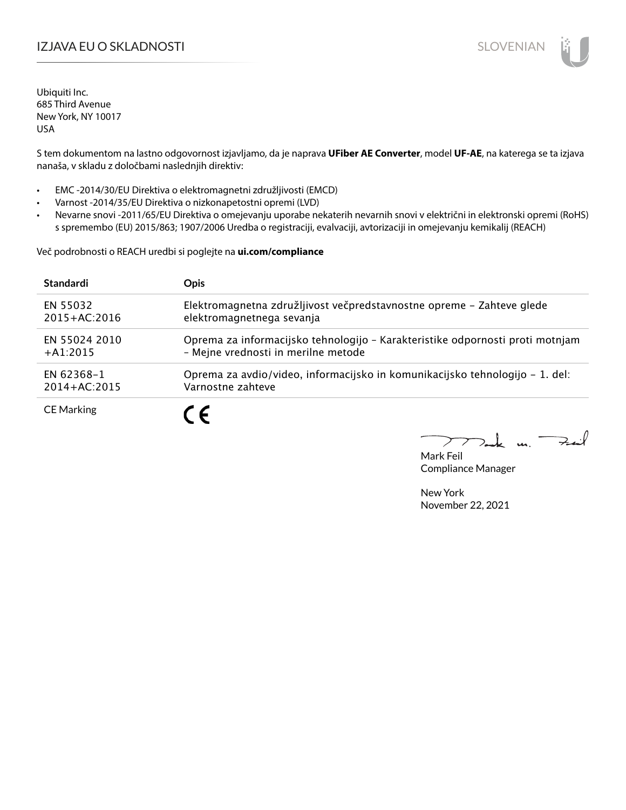# IZJAVA EU O SKLADNOSTI SLOVENIAN

Ubiquiti Inc. 685 Third Avenue New York, NY 10017 USA

S tem dokumentom na lastno odgovornost izjavljamo, da je naprava **UFiber AE Converter**, model **UF-AE**, na katerega se ta izjava nanaša, v skladu z določbami naslednjih direktiv:

- EMC -2014/30/EU Direktiva o elektromagnetni združljivosti (EMCD)
- Varnost -2014/35/EU Direktiva o nizkonapetostni opremi (LVD)
- Nevarne snovi -2011/65/EU Direktiva o omejevanju uporabe nekaterih nevarnih snovi v električni in elektronski opremi (RoHS) s spremembo (EU) 2015/863; 1907/2006 Uredba o registraciji, evalvaciji, avtorizaciji in omejevanju kemikalij (REACH)

Več podrobnosti o REACH uredbi si poglejte na **ui.com/compliance**

| <b>Standardi</b>  | <b>Opis</b>                                                                   |
|-------------------|-------------------------------------------------------------------------------|
| EN 55032          | Elektromagnetna združljivost večpredstavnostne opreme - Zahteve glede         |
| $2015 + AC:2016$  | elektromagnetnega sevanja                                                     |
| FN 55024 2010     | Oprema za informacijsko tehnologijo - Karakteristike odpornosti proti motnjam |
| $+ A1:2015$       | - Mejne vrednosti in merilne metode                                           |
| EN 62368-1        | Oprema za avdio/video, informacijsko in komunikacijsko tehnologijo – 1. del:  |
| $2014 + AC:2015$  | Varnostne zahteve                                                             |
| <b>CE Marking</b> |                                                                               |

 $k$  un  $\rightarrow$ 

Mark Feil Compliance Manager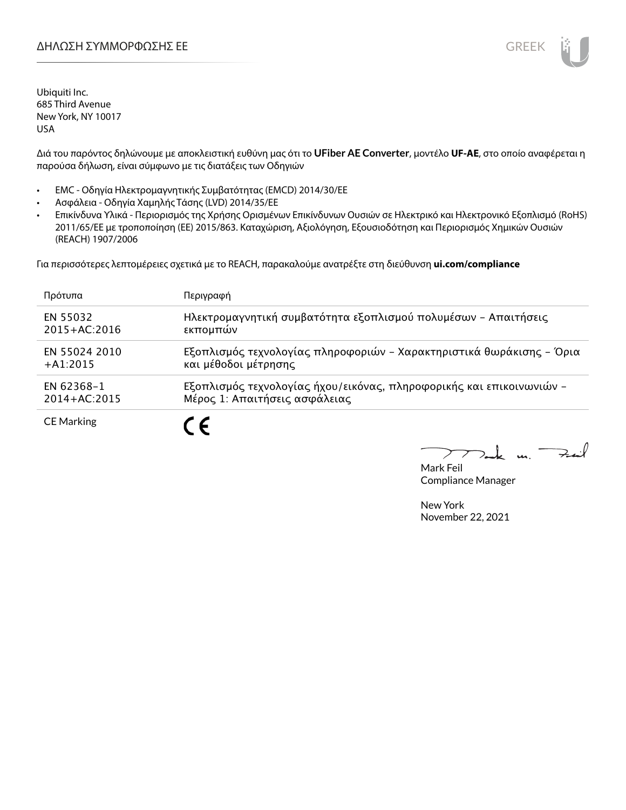

Διά του παρόντος δηλώνουμε με αποκλειστική ευθύνη μας ότι το **UFiber AE Converter**, μοντέλο **UF-AE**, στο οποίο αναφέρεται η παρούσα δήλωση, είναι σύμφωνο με τις διατάξεις των Οδηγιών

- EMC Οδηγία Ηλεκτρομαγνητικής Συμβατότητας (EMCD) 2014/30/ΕΕ
- Ασφάλεια Οδηγία Χαμηλής Τάσης (LVD) 2014/35/ΕΕ
- Επικίνδυνα Υλικά Περιορισμός της Χρήσης Ορισμένων Επικίνδυνων Ουσιών σε Ηλεκτρικό και Ηλεκτρονικό Εξοπλισμό (RoHS) 2011/65/ΕΕ με τροποποίηση (ΕΕ) 2015/863. Καταχώριση, Αξιολόγηση, Εξουσιοδότηση και Περιορισμός Χημικών Ουσιών (REACH) 1907/2006

Για περισσότερες λεπτομέρειες σχετικά με το REACH, παρακαλούμε ανατρέξτε στη διεύθυνση **ui.com/compliance**

| Πρότυπα           | Περιγραφή                                                            |
|-------------------|----------------------------------------------------------------------|
| EN 55032          | Ηλεκτρομαγνητική συμβατότητα εξοπλισμού πολυμέσων - Απαιτήσεις       |
| $2015 + AC:2016$  | εκπομπών                                                             |
| EN 55024 2010     | Εξοπλισμός τεχνολογίας πληροφοριών - Χαρακτηριστικά θωράκισης - Όρια |
| $+41:2015$        | και μέθοδοι μέτρησης                                                 |
| EN 62368-1        | Εξοπλισμός τεχνολογίας ήχου/εικόνας, πληροφορικής και επικοινωνιών - |
| $2014 + AC:2015$  | Μέρος 1: Απαιτήσεις ασφάλειας                                        |
| <b>CE Marking</b> |                                                                      |

Fail  $\mathbf{r}$ 

Mark Feil Compliance Manager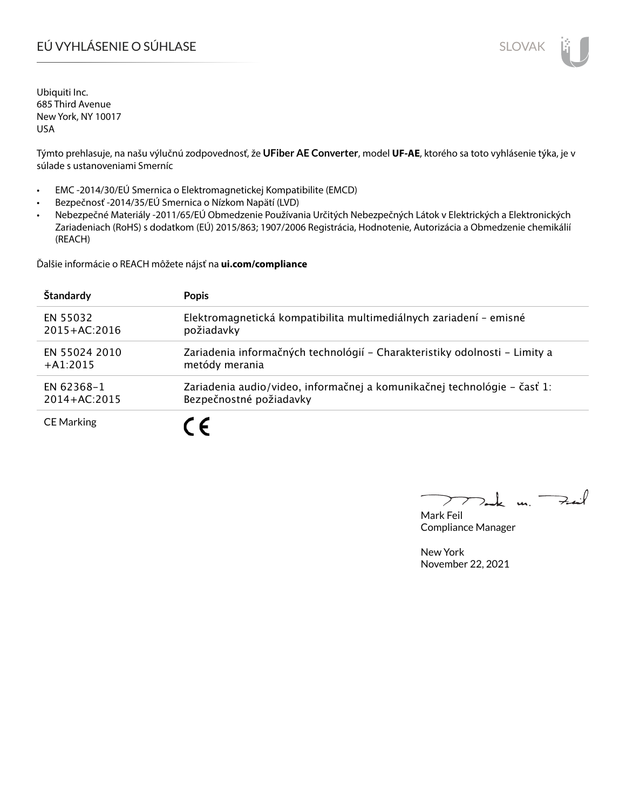# EÚ VYHLÁSENIE O SÚHLASE SLOVAK SLOVAK

Ubiquiti Inc. 685 Third Avenue New York, NY 10017 USA

Týmto prehlasuje, na našu výlučnú zodpovednosť, že **UFiber AE Converter**, model **UF-AE**, ktorého sa toto vyhlásenie týka, je v súlade s ustanoveniami Smerníc

- EMC -2014/30/EÚ Smernica o Elektromagnetickej Kompatibilite (EMCD)
- Bezpečnosť -2014/35/EÚ Smernica o Nízkom Napätí (LVD)
- Nebezpečné Materiály -2011/65/EÚ Obmedzenie Používania Určitých Nebezpečných Látok v Elektrických a Elektronických Zariadeniach (RoHS) s dodatkom (EÚ) 2015/863; 1907/2006 Registrácia, Hodnotenie, Autorizácia a Obmedzenie chemikálií (REACH)

Ďalšie informácie o REACH môžete nájsť na **ui.com/compliance**

| Štandardy         | <b>Popis</b>                                                               |
|-------------------|----------------------------------------------------------------------------|
| EN 55032          | Elektromagnetická kompatibilita multimediálnych zariadení - emisné         |
| $2015 + AC:2016$  | požiadavky                                                                 |
| EN 55024 2010     | Zariadenia informačných technológií – Charakteristiky odolnosti – Limity a |
| $+A1:2015$        | metódy merania                                                             |
| EN 62368-1        | Zariadenia audio/video, informačnej a komunikačnej technológie – časť 1:   |
| $2014 + AC:2015$  | Bezpečnostné požiadavky                                                    |
| <b>CE Marking</b> | $\overline{\phantom{a}}$                                                   |

كمنعة m. -

Mark Feil Compliance Manager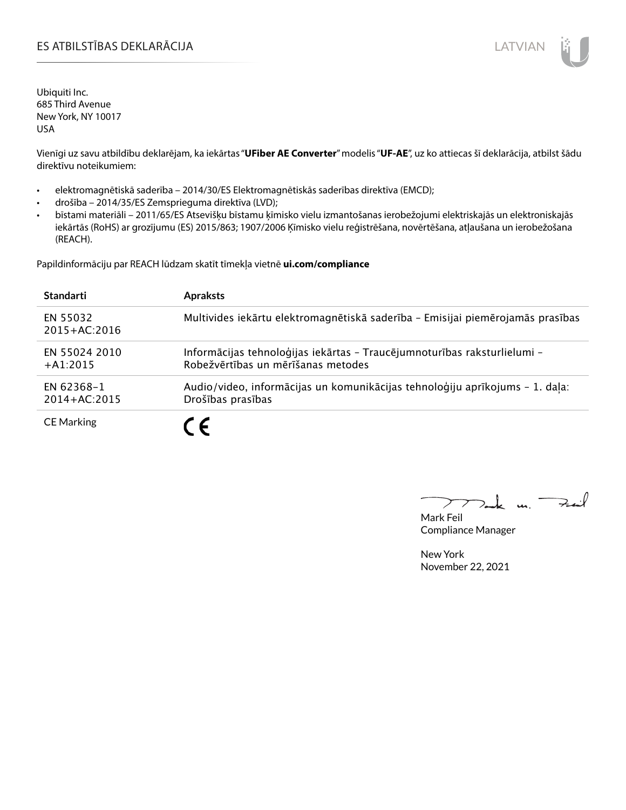### ES ATBILSTĪBAS DEKLARĀCIJA LATVIAN

Ubiquiti Inc. 685 Third Avenue New York, NY 10017 USA

Vienīgi uz savu atbildību deklarējam, ka iekārtas "**UFiber AE Converter**" modelis "**UF-AE**", uz ko attiecas šī deklarācija, atbilst šādu direktīvu noteikumiem:

- elektromagnētiskā saderība 2014/30/ES Elektromagnētiskās saderības direktīva (EMCD);
- drošība 2014/35/ES Zemsprieguma direktīva (LVD);
- bīstami materiāli 2011/65/ES Atsevišķu bīstamu ķīmisko vielu izmantošanas ierobežojumi elektriskajās un elektroniskajās iekārtās (RoHS) ar grozījumu (ES) 2015/863; 1907/2006 Ķīmisko vielu reģistrēšana, novērtēšana, atļaušana un ierobežošana (REACH).

Papildinformāciju par REACH lūdzam skatīt tīmekļa vietnē **ui.com/compliance**

| <b>Standarti</b>               | <b>Apraksts</b>                                                                                                |
|--------------------------------|----------------------------------------------------------------------------------------------------------------|
| EN 55032<br>2015+AC:2016       | Multivides iekārtu elektromagnētiskā saderība - Emisijai piemērojamās prasības                                 |
| EN 55024 2010<br>$+41:2015$    | Informācijas tehnoloģijas iekārtas - Traucējumnoturības raksturlielumi -<br>Robežvērtības un mērīšanas metodes |
| EN 62368-1<br>$2014 + AC:2015$ | Audio/video, informācijas un komunikācijas tehnoloģiju aprīkojums - 1. daļa:<br>Drošības prasības              |
| <b>CE Marking</b>              | $\epsilon$                                                                                                     |

 $k$  un  $\rightarrow$ 

Mark Feil Compliance Manager